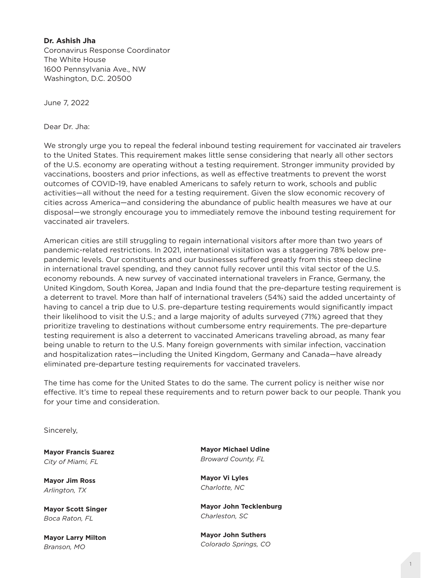## **Dr. Ashish Jha**

Coronavirus Response Coordinator The White House 1600 Pennsylvania Ave., NW Washington, D.C. 20500

June 7, 2022

Dear Dr. Jha:

We strongly urge you to repeal the federal inbound testing requirement for vaccinated air travelers to the United States. This requirement makes little sense considering that nearly all other sectors of the U.S. economy are operating without a testing requirement. Stronger immunity provided by vaccinations, boosters and prior infections, as well as effective treatments to prevent the worst outcomes of COVID-19, have enabled Americans to safely return to work, schools and public activities—all without the need for a testing requirement. Given the slow economic recovery of cities across America—and considering the abundance of public health measures we have at our disposal—we strongly encourage you to immediately remove the inbound testing requirement for vaccinated air travelers.

American cities are still struggling to regain international visitors after more than two years of pandemic-related restrictions. In 2021, international visitation was a staggering 78% below prepandemic levels. Our constituents and our businesses suffered greatly from this steep decline in international travel spending, and they cannot fully recover until this vital sector of the U.S. economy rebounds. A new survey of vaccinated international travelers in France, Germany, the United Kingdom, South Korea, Japan and India found that the pre-departure testing requirement is a deterrent to travel. More than half of international travelers (54%) said the added uncertainty of having to cancel a trip due to U.S. pre-departure testing requirements would significantly impact their likelihood to visit the U.S.; and a large majority of adults surveyed (71%) agreed that they prioritize traveling to destinations without cumbersome entry requirements. The pre-departure testing requirement is also a deterrent to vaccinated Americans traveling abroad, as many fear being unable to return to the U.S. Many foreign governments with similar infection, vaccination and hospitalization rates—including the United Kingdom, Germany and Canada—have already eliminated pre-departure testing requirements for vaccinated travelers.

The time has come for the United States to do the same. The current policy is neither wise nor effective. It's time to repeal these requirements and to return power back to our people. Thank you for your time and consideration.

Sincerely,

**Mayor Francis Suarez** *City of Miami, FL*

**Mayor Jim Ross** *Arlington, TX* 

**Mayor Scott Singer** *Boca Raton, FL* 

**Mayor Larry Milton** *Branson, MO*

**Mayor Michael Udine** *Broward County, FL*

**Mayor Vi Lyles**  *Charlotte, NC* 

**Mayor John Tecklenburg** *Charleston, SC* 

**Mayor John Suthers**  *Colorado Springs, CO*